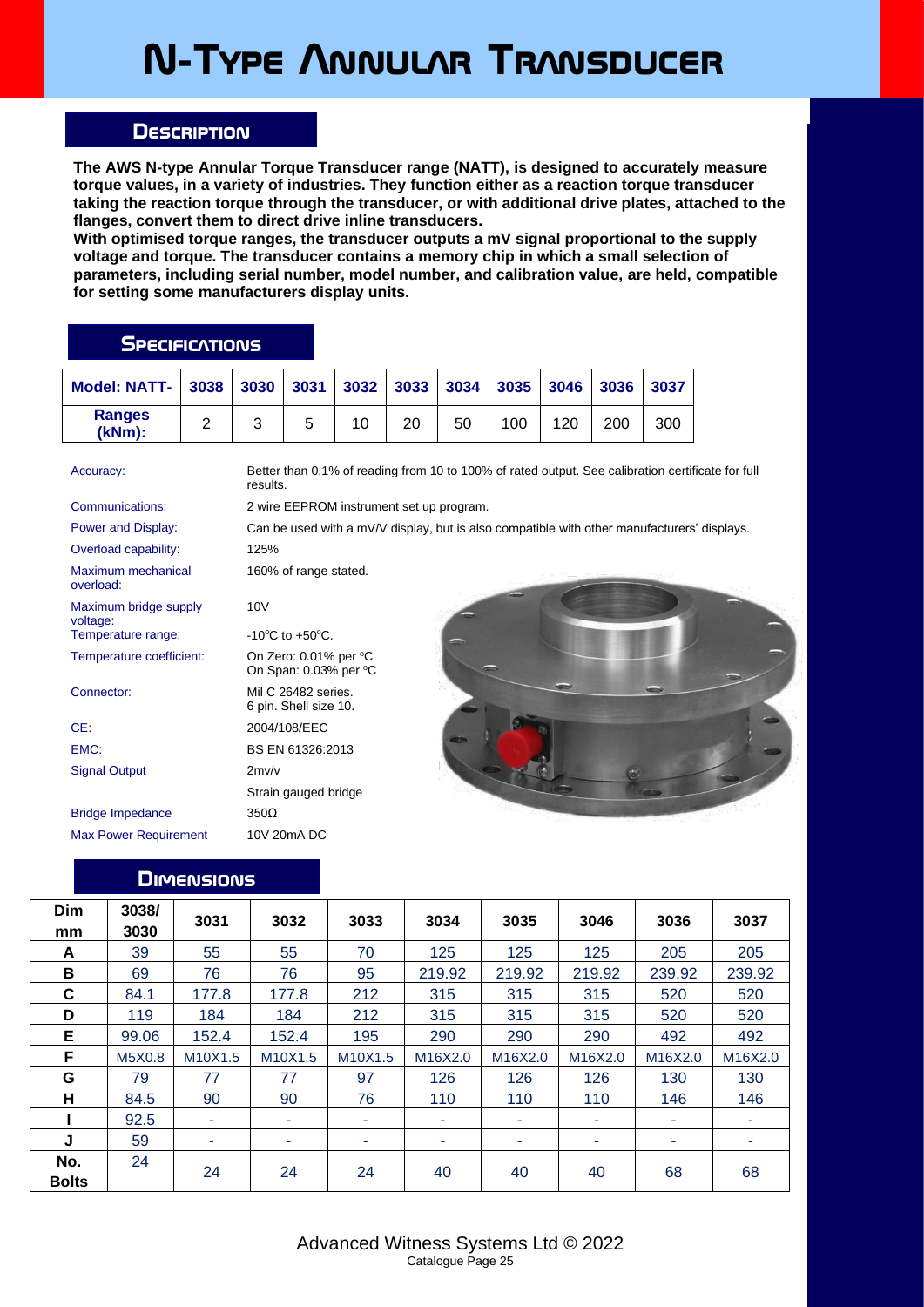## **N-Type Annular Transducer**

## **Description**

**The AWS N-type Annular Torque Transducer range (NATT), is designed to accurately measure torque values, in a variety of industries. They function either as a reaction torque transducer taking the reaction torque through the transducer, or with additional drive plates, attached to the flanges, convert them to direct drive inline transducers.**

**With optimised torque ranges, the transducer outputs a mV signal proportional to the supply voltage and torque. The transducer contains a memory chip in which a small selection of parameters, including serial number, model number, and calibration value, are held, compatible for setting some manufacturers display units.**

## **SPECIFICATIONS**

| <b>Model: NATT-</b>     | 3038 | 3030 | 3031 | $3032$ 3033 |    | $\blacksquare$ 3034 | 3035 | $3046$ 3036 |     | 3037 |
|-------------------------|------|------|------|-------------|----|---------------------|------|-------------|-----|------|
| <b>Ranges</b><br>(kNm): |      |      |      |             | 20 | 50                  | 100  | 120         | 200 | 300  |

Accuracy: Better than 0.1% of reading from 10 to 100% of rated output. See calibration certificate for full results. Communications: 2 wire EEPROM instrument set up program. Power and Display: Can be used with a mV/V display, but is also compatible with other manufacturers' displays. Overload capability: 125% Maximum mechanical overload: 160% of range stated. Maximum bridge supply voltage: 10V Temperature range: -10°C to +50°C. Temperature coefficient: On Zero: 0.01% per °C On Span: 0.03% per °C Connector: Mil C 26482 series. 6 pin. Shell size 10. CE: 2004/108/EEC EMC: BS EN 61326:2013 Signal Output 2mv/v Strain gauged bridge Bridge Impedance 350Ω Max Power Requirement 10V 20mA DC

## **Dimensions**

| Dim<br>mm           | 3038/<br>3030 | 3031    | 3032    | 3033    | 3034    | 3035    | 3046    | 3036    | 3037    |
|---------------------|---------------|---------|---------|---------|---------|---------|---------|---------|---------|
| A                   | 39            | 55      | 55      | 70      | 125     | 125     | 125     | 205     | 205     |
| В                   | 69            | 76      | 76      | 95      | 219.92  | 219.92  | 219.92  | 239.92  | 239.92  |
| C                   | 84.1          | 177.8   | 177.8   | 212     | 315     | 315     | 315     | 520     | 520     |
| D                   | 119           | 184     | 184     | 212     | 315     | 315     | 315     | 520     | 520     |
| E                   | 99.06         | 152.4   | 152.4   | 195     | 290     | 290     | 290     | 492     | 492     |
| F                   | M5X0.8        | M10X1.5 | M10X1.5 | M10X1.5 | M16X2.0 | M16X2.0 | M16X2.0 | M16X2.0 | M16X2.0 |
| G                   | 79            | 77      | 77      | 97      | 126     | 126     | 126     | 130     | 130     |
| н                   | 84.5          | 90      | 90      | 76      | 110     | 110     | 110     | 146     | 146     |
|                     | 92.5          | ۰       | ٠       | ۰       | ۰       | ۰       | ۰       | ۰       |         |
| J                   | 59            | ۰       | ۰       | ۰       | ۰       |         | ۰.      | ۰       |         |
| No.<br><b>Bolts</b> | 24            | 24      | 24      | 24      | 40      | 40      | 40      | 68      | 68      |